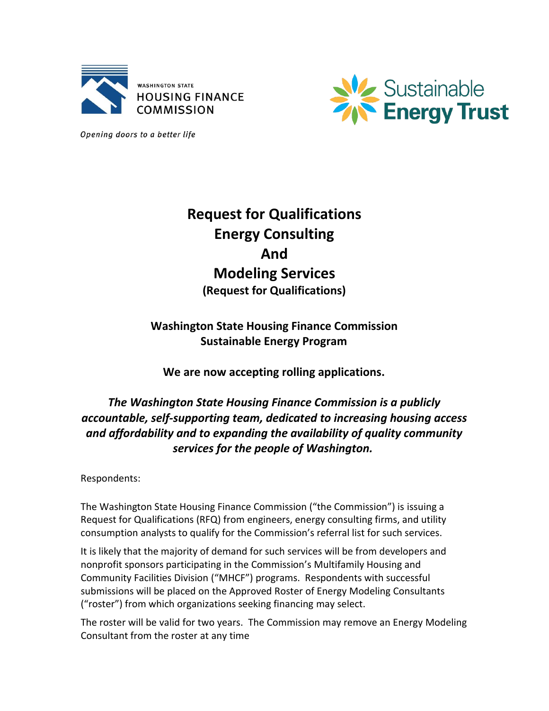



Opening doors to a better life

# **Request for Qualifications Energy Consulting And Modeling Services (Request for Qualifications)**

## **Washington State Housing Finance Commission Sustainable Energy Program**

**We are now accepting rolling applications.**

## *The Washington State Housing Finance Commission is a publicly accountable, self-supporting team, dedicated to increasing housing access and affordability and to expanding the availability of quality community services for the people of Washington.*

Respondents:

The Washington State Housing Finance Commission ("the Commission") is issuing a Request for Qualifications (RFQ) from engineers, energy consulting firms, and utility consumption analysts to qualify for the Commission's referral list for such services.

It is likely that the majority of demand for such services will be from developers and nonprofit sponsors participating in the Commission's Multifamily Housing and Community Facilities Division ("MHCF") programs. Respondents with successful submissions will be placed on the Approved Roster of Energy Modeling Consultants ("roster") from which organizations seeking financing may select.

The roster will be valid for two years. The Commission may remove an Energy Modeling Consultant from the roster at any time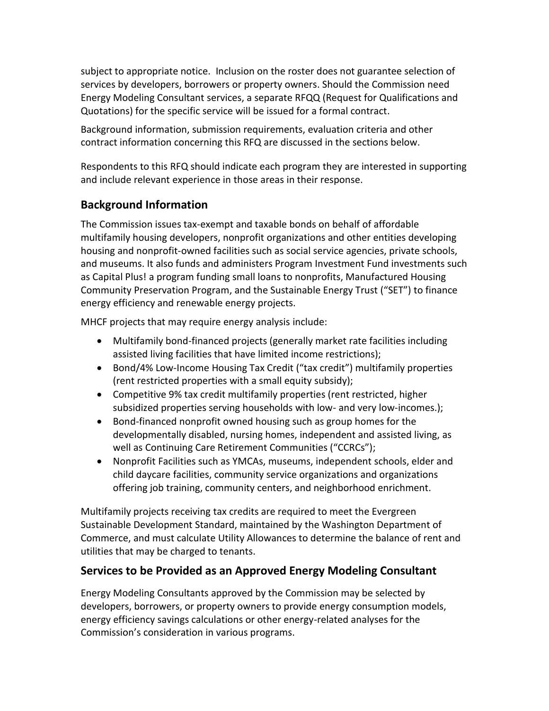subject to appropriate notice. Inclusion on the roster does not guarantee selection of services by developers, borrowers or property owners. Should the Commission need Energy Modeling Consultant services, a separate RFQQ (Request for Qualifications and Quotations) for the specific service will be issued for a formal contract.

Background information, submission requirements, evaluation criteria and other contract information concerning this RFQ are discussed in the sections below.

Respondents to this RFQ should indicate each program they are interested in supporting and include relevant experience in those areas in their response.

## **Background Information**

The Commission issues tax-exempt and taxable bonds on behalf of affordable multifamily housing developers, nonprofit organizations and other entities developing housing and nonprofit-owned facilities such as social service agencies, private schools, and museums. It also funds and administers Program Investment Fund investments such as Capital Plus! a program funding small loans to nonprofits, Manufactured Housing Community Preservation Program, and the Sustainable Energy Trust ("SET") to finance energy efficiency and renewable energy projects.

MHCF projects that may require energy analysis include:

- Multifamily bond-financed projects (generally market rate facilities including assisted living facilities that have limited income restrictions);
- Bond/4% Low-Income Housing Tax Credit ("tax credit") multifamily properties (rent restricted properties with a small equity subsidy);
- Competitive 9% tax credit multifamily properties (rent restricted, higher subsidized properties serving households with low- and very low-incomes.);
- Bond-financed nonprofit owned housing such as group homes for the developmentally disabled, nursing homes, independent and assisted living, as well as Continuing Care Retirement Communities ("CCRCs");
- Nonprofit Facilities such as YMCAs, museums, independent schools, elder and child daycare facilities, community service organizations and organizations offering job training, community centers, and neighborhood enrichment.

Multifamily projects receiving tax credits are required to meet the Evergreen Sustainable Development Standard, maintained by the Washington Department of Commerce, and must calculate Utility Allowances to determine the balance of rent and utilities that may be charged to tenants.

## **Services to be Provided as an Approved Energy Modeling Consultant**

Energy Modeling Consultants approved by the Commission may be selected by developers, borrowers, or property owners to provide energy consumption models, energy efficiency savings calculations or other energy-related analyses for the Commission's consideration in various programs.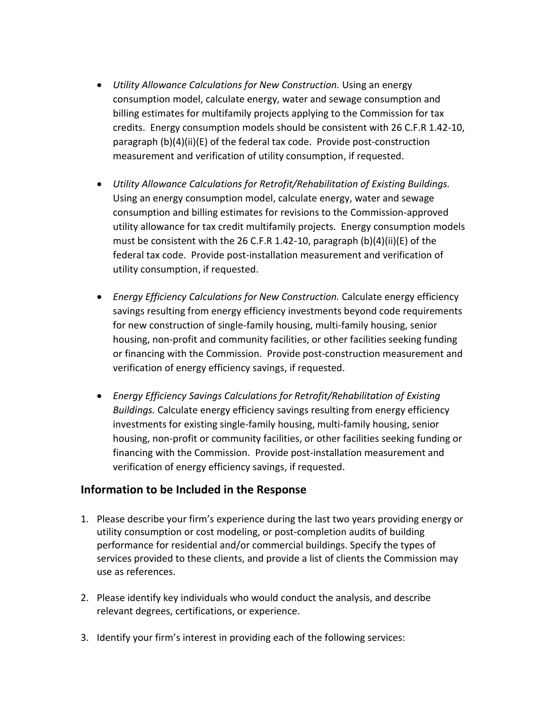- *Utility Allowance Calculations for New Construction.* Using an energy consumption model, calculate energy, water and sewage consumption and billing estimates for multifamily projects applying to the Commission for tax credits. Energy consumption models should be consistent with 26 C.F.R 1.42-10, paragraph (b)(4)(ii)(E) of the federal tax code. Provide post-construction measurement and verification of utility consumption, if requested.
- *Utility Allowance Calculations for Retrofit/Rehabilitation of Existing Buildings.* Using an energy consumption model, calculate energy, water and sewage consumption and billing estimates for revisions to the Commission-approved utility allowance for tax credit multifamily projects. Energy consumption models must be consistent with the 26 C.F.R 1.42-10, paragraph  $(b)(4)(ii)(E)$  of the federal tax code. Provide post-installation measurement and verification of utility consumption, if requested.
- *Energy Efficiency Calculations for New Construction.* Calculate energy efficiency savings resulting from energy efficiency investments beyond code requirements for new construction of single-family housing, multi-family housing, senior housing, non-profit and community facilities, or other facilities seeking funding or financing with the Commission. Provide post-construction measurement and verification of energy efficiency savings, if requested.
- *Energy Efficiency Savings Calculations for Retrofit/Rehabilitation of Existing Buildings.* Calculate energy efficiency savings resulting from energy efficiency investments for existing single-family housing, multi-family housing, senior housing, non-profit or community facilities, or other facilities seeking funding or financing with the Commission. Provide post-installation measurement and verification of energy efficiency savings, if requested.

#### **Information to be Included in the Response**

- 1. Please describe your firm's experience during the last two years providing energy or utility consumption or cost modeling, or post-completion audits of building performance for residential and/or commercial buildings. Specify the types of services provided to these clients, and provide a list of clients the Commission may use as references.
- 2. Please identify key individuals who would conduct the analysis, and describe relevant degrees, certifications, or experience.
- 3. Identify your firm's interest in providing each of the following services: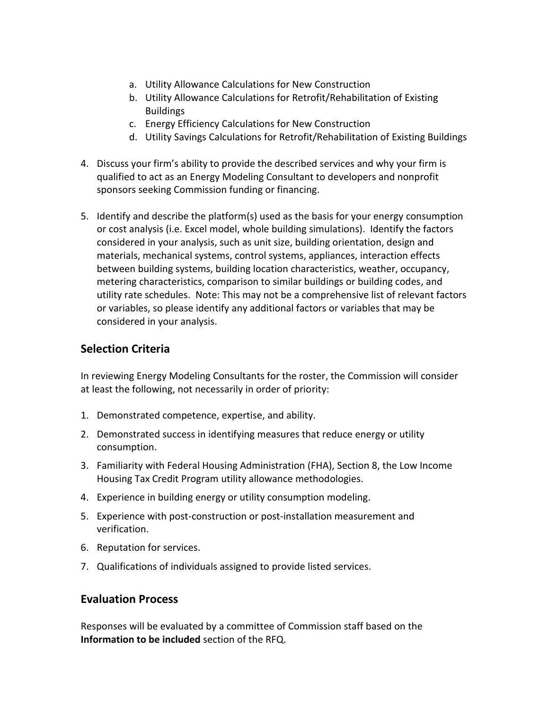- a. Utility Allowance Calculations for New Construction
- b. Utility Allowance Calculations for Retrofit/Rehabilitation of Existing **Buildings**
- c. Energy Efficiency Calculations for New Construction
- d. Utility Savings Calculations for Retrofit/Rehabilitation of Existing Buildings
- 4. Discuss your firm's ability to provide the described services and why your firm is qualified to act as an Energy Modeling Consultant to developers and nonprofit sponsors seeking Commission funding or financing.
- 5. Identify and describe the platform(s) used as the basis for your energy consumption or cost analysis (i.e. Excel model, whole building simulations). Identify the factors considered in your analysis, such as unit size, building orientation, design and materials, mechanical systems, control systems, appliances, interaction effects between building systems, building location characteristics, weather, occupancy, metering characteristics, comparison to similar buildings or building codes, and utility rate schedules. Note: This may not be a comprehensive list of relevant factors or variables, so please identify any additional factors or variables that may be considered in your analysis.

## **Selection Criteria**

In reviewing Energy Modeling Consultants for the roster, the Commission will consider at least the following, not necessarily in order of priority:

- 1. Demonstrated competence, expertise, and ability.
- 2. Demonstrated success in identifying measures that reduce energy or utility consumption.
- 3. Familiarity with Federal Housing Administration (FHA), Section 8, the Low Income Housing Tax Credit Program utility allowance methodologies.
- 4. Experience in building energy or utility consumption modeling.
- 5. Experience with post-construction or post-installation measurement and verification.
- 6. Reputation for services.
- 7. Qualifications of individuals assigned to provide listed services.

### **Evaluation Process**

Responses will be evaluated by a committee of Commission staff based on the **Information to be included** section of the RFQ.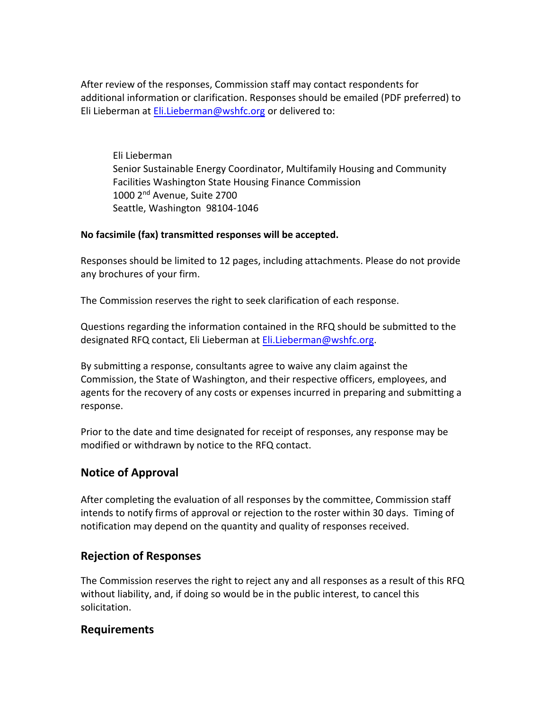After review of the responses, Commission staff may contact respondents for additional information or clarification. Responses should be emailed (PDF preferred) to Eli Lieberman at Eli.Lieberman@wshfc.org or delivered to:

Eli Lieberman Senior Sustainable Energy Coordinator, Multifamily Housing and Community Facilities Washington State Housing Finance Commission 1000 2nd Avenue, Suite 2700 Seattle, Washington 98104-1046

#### **No facsimile (fax) transmitted responses will be accepted.**

Responses should be limited to 12 pages, including attachments. Please do not provide any brochures of your firm.

The Commission reserves the right to seek clarification of each response.

Questions regarding the information contained in the RFQ should be submitted to the designated RFQ contact, Eli Lieberman at [Eli.Lieberman](mailto:Juliana.williams@wshfc.org)@wshfc.org.

By submitting a response, consultants agree to waive any claim against the Commission, the State of Washington, and their respective officers, employees, and agents for the recovery of any costs or expenses incurred in preparing and submitting a response.

Prior to the date and time designated for receipt of responses, any response may be modified or withdrawn by notice to the RFQ contact.

## **Notice of Approval**

After completing the evaluation of all responses by the committee, Commission staff intends to notify firms of approval or rejection to the roster within 30 days. Timing of notification may depend on the quantity and quality of responses received.

## **Rejection of Responses**

The Commission reserves the right to reject any and all responses as a result of this RFQ without liability, and, if doing so would be in the public interest, to cancel this solicitation.

## **Requirements**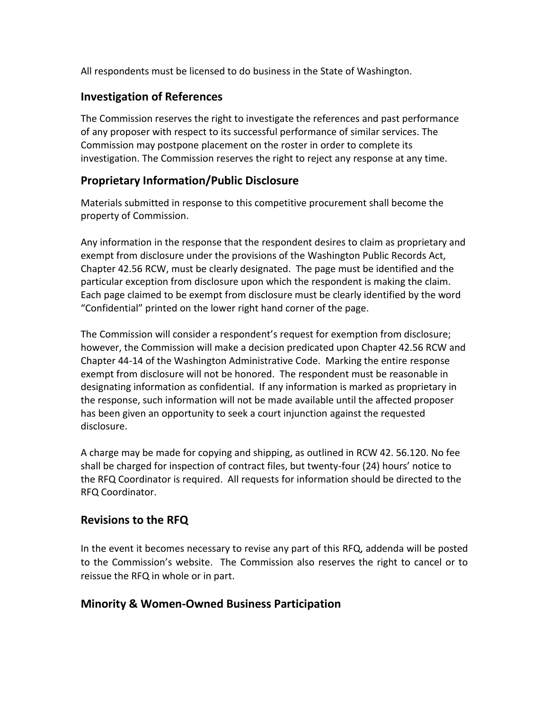All respondents must be licensed to do business in the State of Washington.

### **Investigation of References**

The Commission reserves the right to investigate the references and past performance of any proposer with respect to its successful performance of similar services. The Commission may postpone placement on the roster in order to complete its investigation. The Commission reserves the right to reject any response at any time.

## **Proprietary Information/Public Disclosure**

Materials submitted in response to this competitive procurement shall become the property of Commission.

Any information in the response that the respondent desires to claim as proprietary and exempt from disclosure under the provisions of the Washington Public Records Act, Chapter 42.56 RCW, must be clearly designated. The page must be identified and the particular exception from disclosure upon which the respondent is making the claim. Each page claimed to be exempt from disclosure must be clearly identified by the word "Confidential" printed on the lower right hand corner of the page.

The Commission will consider a respondent's request for exemption from disclosure; however, the Commission will make a decision predicated upon Chapter 42.56 RCW and Chapter 44-14 of the Washington Administrative Code. Marking the entire response exempt from disclosure will not be honored. The respondent must be reasonable in designating information as confidential. If any information is marked as proprietary in the response, such information will not be made available until the affected proposer has been given an opportunity to seek a court injunction against the requested disclosure.

A charge may be made for copying and shipping, as outlined in RCW 42. 56.120. No fee shall be charged for inspection of contract files, but twenty-four (24) hours' notice to the RFQ Coordinator is required. All requests for information should be directed to the RFQ Coordinator.

## **Revisions to the RFQ**

In the event it becomes necessary to revise any part of this RFQ, addenda will be posted to the Commission's website.The Commission also reserves the right to cancel or to reissue the RFQ in whole or in part.

### **Minority & Women-Owned Business Participation**